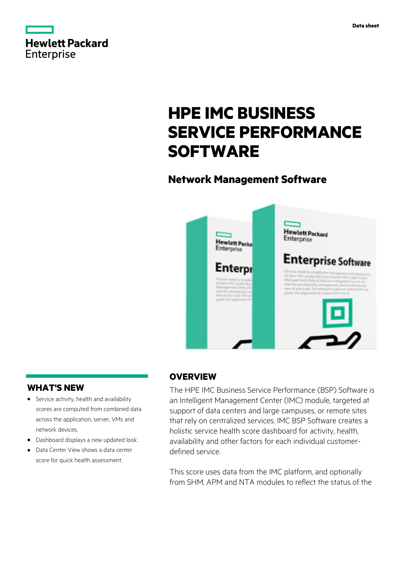



# **HPE IMC BUSINESS SERVICE PERFORMANCE SOFTWARE**

## **Network Management Software**



### **WHAT'S NEW**

- **·** Service activity, health and availability scores are computed from combined data across the application, server, VMs and network devices.
- **·** Dashboard displays a new updated look.
- **·** Data Center View shows a data center score for quick health assessment.

### **OVERVIEW**

The HPE IMC Business Service Performance (BSP) Software is an Intelligent Management Center (IMC) module, targeted at support of data centers and large campuses, or remote sites that rely on centralized services. IMC BSP Software creates a holistic service health score dashboard for activity, health, availability and other factors for each individual customerdefined service.

This score uses data from the IMC platform, and optionally from SHM, APM and NTA modules to reflect the status of the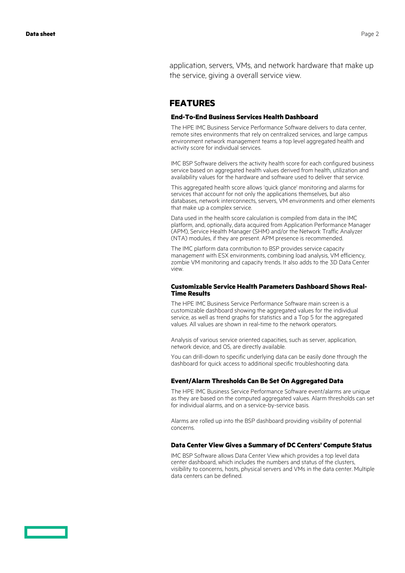application, servers, VMs, and network hardware that make up the service, giving a overall service view.

### **FEATURES**

#### **End-To-End Business Services Health Dashboard**

The HPE IMC Business Service Performance Software delivers to data center, remote sites environments that rely on centralized services, and large campus environment network management teams a top level aggregated health and activity score for individual services.

IMC BSP Software delivers the activity health score for each configured business service based on aggregated health values derived from health, utilization and availability values for the hardware and software used to deliver that service.

This aggregated health score allows 'quick glance' monitoring and alarms for services that account for not only the applications themselves, but also databases, network interconnects, servers, VM environments and other elements that make up a complex service.

Data used in the health score calculation is compiled from data in the IMC platform, and, optionally, data acquired from Application Performance Manager (APM), Service Health Manager (SHM) and/or the Network Traffic Analyzer (NTA) modules, if they are present. APM presence is recommended.

The IMC platform data contribution to BSP provides service capacity management with ESX environments, combining load analysis, VM efficiency, zombie VM monitoring and capacity trends. It also adds to the 3D Data Center view.

#### **Customizable Service Health Parameters Dashboard Shows Real-Time Results**

The HPE IMC Business Service Performance Software main screen is a customizable dashboard showing the aggregated values for the individual service, as well as trend graphs for statistics and a Top 5 for the aggregated values. All values are shown in real-time to the network operators.

Analysis of various service oriented capacities, such as server, application, network device, and OS, are directly available.

You can drill-down to specific underlying data can be easily done through the dashboard for quick access to additional specific troubleshooting data.

#### **Event/Alarm Thresholds Can Be Set On Aggregated Data**

The HPE IMC Business Service Performance Software event/alarms are unique as they are based on the computed aggregated values. Alarm thresholds can set for individual alarms, and on a service-by-service basis.

Alarms are rolled up into the BSP dashboard providing visibility of potential concerns.

#### **Data Center View Gives a Summary of DC Centers' Compute Status**

IMC BSP Software allows Data Center View which provides a top level data center dashboard, which includes the numbers and status of the clusters, visibility to concerns, hosts, physical servers and VMs in the data center. Multiple data centers can be defined.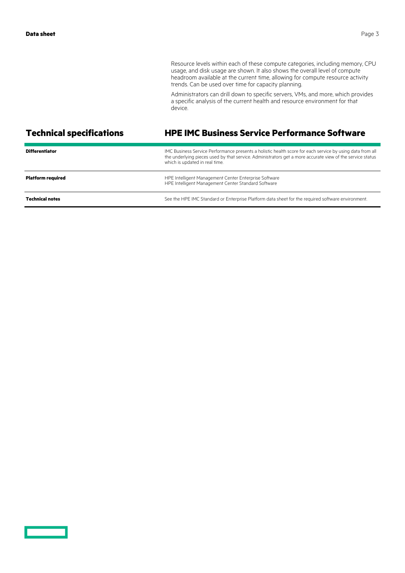Resource levels within each of these compute categories, including memory, CPU usage, and disk usage are shown. It also shows the overall level of compute headroom available at the current time, allowing for compute resource activity trends. Can be used over time for capacity planning.

Administrators can drill down to specific servers, VMs, and more, which provides a specific analysis of the current health and resource environment for that device.

### **Technical specifications HPE IMC Business Service Performance Software**

| <b>Differentiator</b>    | IMC Business Service Performance presents a holistic health score for each service by using data from all<br>the underlying pieces used by that service. Administrators get a more accurate view of the service status<br>which is updated in real time. |
|--------------------------|----------------------------------------------------------------------------------------------------------------------------------------------------------------------------------------------------------------------------------------------------------|
| <b>Platform required</b> | HPE Intelligent Management Center Enterprise Software<br>HPE Intelligent Management Center Standard Software                                                                                                                                             |
| <b>Technical notes</b>   | See the HPE IMC Standard or Enterprise Platform data sheet for the required software environment.                                                                                                                                                        |